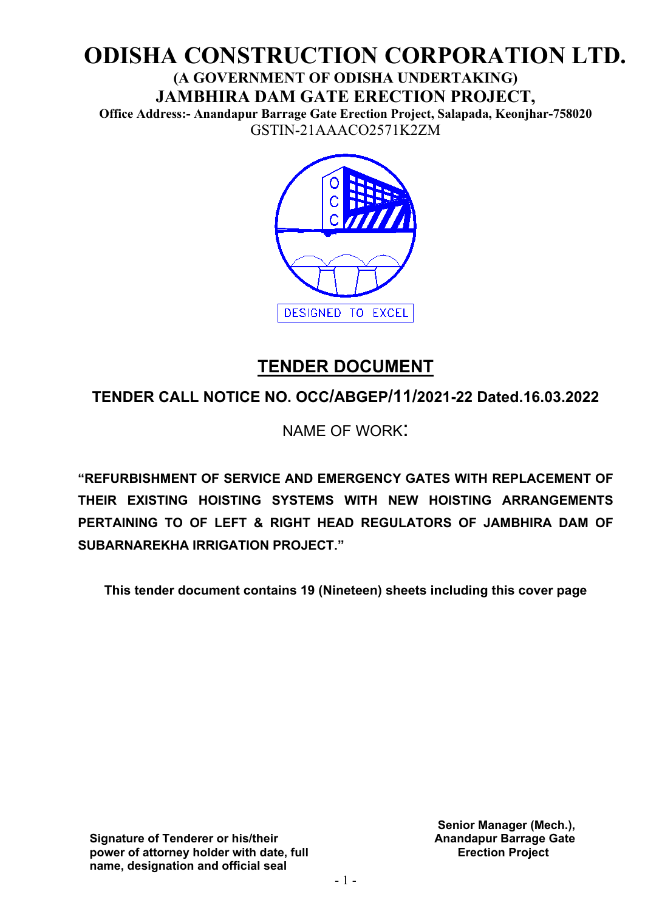# **ODISHA CONSTRUCTION CORPORATION LTD. (A GOVERNMENT OF ODISHA UNDERTAKING)**

**JAMBHIRA DAM GATE ERECTION PROJECT, Office Address:- Anandapur Barrage Gate Erection Project, Salapada, Keonjhar-758020**  GSTIN-21AAACO2571K2ZM



# **TENDER DOCUMENT**

**TENDER CALL NOTICE NO. OCC/ABGEP/11/2021-22 Dated.16.03.2022**

NAME OF WORK:

**"REFURBISHMENT OF SERVICE AND EMERGENCY GATES WITH REPLACEMENT OF THEIR EXISTING HOISTING SYSTEMS WITH NEW HOISTING ARRANGEMENTS PERTAINING TO OF LEFT & RIGHT HEAD REGULATORS OF JAMBHIRA DAM OF SUBARNAREKHA IRRIGATION PROJECT."**

**This tender document contains 19 (Nineteen) sheets including this cover page**

**Signature of Tenderer or his/their power of attorney holder with date, full name, designation and official seal**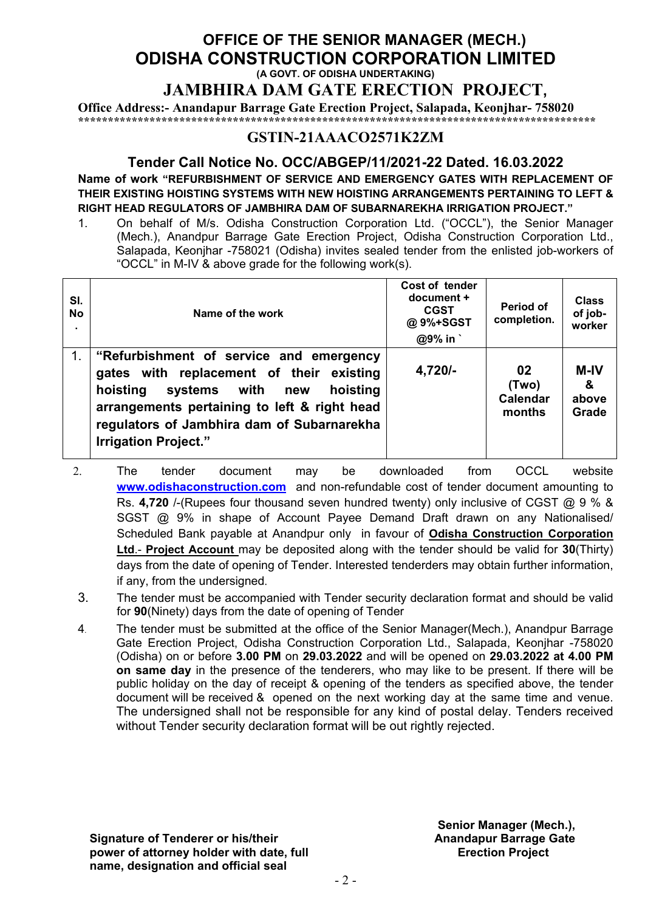# **OFFICE OF THE SENIOR MANAGER (MECH.) ODISHA CONSTRUCTION CORPORATION LIMITED (A GOVT. OF ODISHA UNDERTAKING)**

**JAMBHIRA DAM GATE ERECTION PROJECT,** 

**Office Address:- Anandapur Barrage Gate Erection Project, Salapada, Keonjhar- 758020 \*\*\*\*\*\*\*\*\*\*\*\*\*\*\*\*\*\*\*\*\*\*\*\*\*\*\*\*\*\*\*\*\*\*\*\*\*\*\*\*\*\*\*\*\*\*\*\*\*\*\*\*\*\*\*\*\*\*\*\*\*\*\*\*\*\*\*\*\*\*\*\*\*\*\*\*\*\*\*\*\*\*\*\*\*\*\***

#### **GSTIN-21AAACO2571K2ZM**

#### **Tender Call Notice No. OCC/ABGEP/11/2021-22 Dated. 16.03.2022 Name of work "REFURBISHMENT OF SERVICE AND EMERGENCY GATES WITH REPLACEMENT OF THEIR EXISTING HOISTING SYSTEMS WITH NEW HOISTING ARRANGEMENTS PERTAINING TO LEFT & RIGHT HEAD REGULATORS OF JAMBHIRA DAM OF SUBARNAREKHA IRRIGATION PROJECT."**

1. On behalf of M/s. Odisha Construction Corporation Ltd. ("OCCL"), the Senior Manager (Mech.), Anandpur Barrage Gate Erection Project, Odisha Construction Corporation Ltd., Salapada, Keonjhar -758021 (Odisha) invites sealed tender from the enlisted job-workers of "OCCL" in M-IV & above grade for the following work(s).

| SI.<br><b>No</b> | Name of the work                                                                                                                                                                                                                                                | Cost of tender<br>document +<br><b>CGST</b><br>@9%+SGST<br>$@9\%$ in | <b>Period of</b><br>completion.          | <b>Class</b><br>of job-<br>worker    |
|------------------|-----------------------------------------------------------------------------------------------------------------------------------------------------------------------------------------------------------------------------------------------------------------|----------------------------------------------------------------------|------------------------------------------|--------------------------------------|
| $1_{-}$          | "Refurbishment of service and emergency<br>gates with replacement of their existing<br>hoisting<br>systems with<br>hoisting<br>new<br>arrangements pertaining to left & right head<br>regulators of Jambhira dam of Subarnarekha<br><b>Irrigation Project."</b> | 4,720/-                                                              | 02<br>(Two)<br><b>Calendar</b><br>months | <b>M-IV</b><br>୍ୟୁ<br>above<br>Grade |

- 2. The tender document may be downloaded from OCCL website **[www.odishaconstruction.com](http://www.odishaconstruction.com/)** and non-refundable cost of tender document amounting to Rs. 4,720 /-(Rupees four thousand seven hundred twenty) only inclusive of CGST @ 9 % & SGST @ 9% in shape of Account Payee Demand Draft drawn on any Nationalised/ Scheduled Bank payable at Anandpur only in favour of **Odisha Construction Corporation Ltd**.- **Project Account** may be deposited along with the tender should be valid for **30**(Thirty) days from the date of opening of Tender. Interested tenderders may obtain further information, if any, from the undersigned.
- 3. The tender must be accompanied with Tender security declaration format and should be valid for **90**(Ninety) days from the date of opening of Tender
- 4. The tender must be submitted at the office of the Senior Manager(Mech.), Anandpur Barrage Gate Erection Project, Odisha Construction Corporation Ltd., Salapada, Keonjhar -758020 (Odisha) on or before **3.00 PM** on **29.03.2022** and will be opened on **29.03.2022 at 4.00 PM on same day** in the presence of the tenderers, who may like to be present. If there will be public holiday on the day of receipt & opening of the tenders as specified above, the tender document will be received & opened on the next working day at the same time and venue. The undersigned shall not be responsible for any kind of postal delay. Tenders received without Tender security declaration format will be out rightly rejected.

**Signature of Tenderer or his/their power of attorney holder with date, full name, designation and official seal**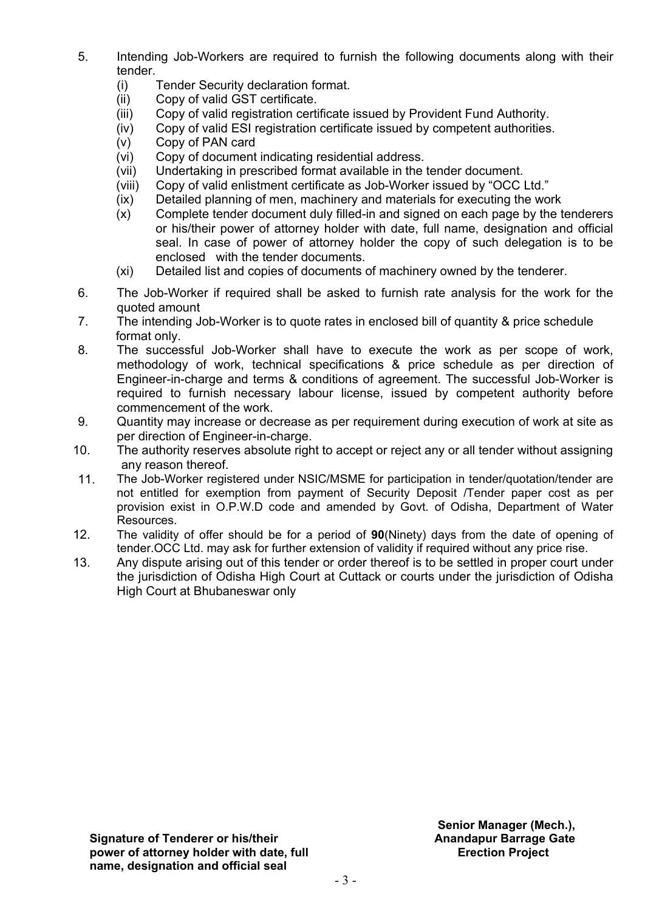- 5. Intending Job-Workers are required to furnish the following documents along with their tender.
	- (i) Tender Security declaration format.
	- (ii) Copy of valid GST certificate.<br>(iii) Copy of valid registration certi
	- Copy of valid registration certificate issued by Provident Fund Authority.
	- (iv) Copy of valid ESI registration certificate issued by competent authorities.
	- (v) Copy of PAN card
	- (vi) Copy of document indicating residential address.
	- (vii) Undertaking in prescribed format available in the tender document.
	- (viii) Copy of valid enlistment certificate as Job-Worker issued by "OCC Ltd."
	- (ix) Detailed planning of men, machinery and materials for executing the work
	- (x) Complete tender document duly filled-in and signed on each page by the tenderers or his/their power of attorney holder with date, full name, designation and official seal. In case of power of attorney holder the copy of such delegation is to be enclosed with the tender documents.
	- (xi) Detailed list and copies of documents of machinery owned by the tenderer.
- 6. The Job-Worker if required shall be asked to furnish rate analysis for the work for the quoted amount
- 7. The intending Job-Worker is to quote rates in enclosed bill of quantity & price schedule format only.<br>8. The succes
- The successful Job-Worker shall have to execute the work as per scope of work, methodology of work, technical specifications & price schedule as per direction of Engineer-in-charge and terms & conditions of agreement. The successful Job-Worker is required to furnish necessary labour license, issued by competent authority before commencement of the work.
- 9. Quantity may increase or decrease as per requirement during execution of work at site as per direction of Engineer-in-charge.
- 10. The authority reserves absolute right to accept or reject any or all tender without assigning any reason thereof.<br>11. The Job-Worker regis
- The Job-Worker registered under NSIC/MSME for participation in tender/quotation/tender are not entitled for exemption from payment of Security Deposit /Tender paper cost as per provision exist in O.P.W.D code and amended by Govt. of Odisha, Department of Water Resources.
- 12. The validity of offer should be for a period of **90**(Ninety) days from the date of opening of tender.OCC Ltd. may ask for further extension of validity if required without any price rise.
- 13. Any dispute arising out of this tender or order thereof is to be settled in proper court under the jurisdiction of Odisha High Court at Cuttack or courts under the jurisdiction of Odisha High Court at Bhubaneswar only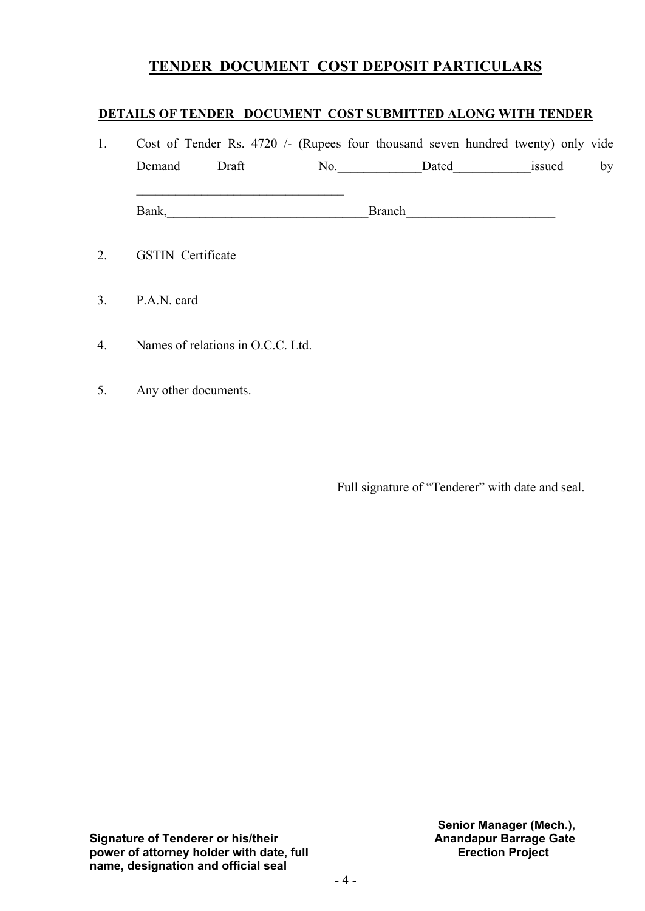#### **TENDER DOCUMENT COST DEPOSIT PARTICULARS**

#### **DETAILS OF TENDER DOCUMENT COST SUBMITTED ALONG WITH TENDER**

| 1. |                                   |     |               | Cost of Tender Rs. 4720 /- (Rupees four thousand seven hundred twenty) only vide |    |
|----|-----------------------------------|-----|---------------|----------------------------------------------------------------------------------|----|
|    | Draft<br>Demand                   | No. | Dated         | issued                                                                           | by |
|    | Bank,                             |     | <b>Branch</b> |                                                                                  |    |
| 2. | <b>GSTIN</b> Certificate          |     |               |                                                                                  |    |
| 3. | P.A.N. card                       |     |               |                                                                                  |    |
| 4. | Names of relations in O.C.C. Ltd. |     |               |                                                                                  |    |

5. Any other documents.

Full signature of "Tenderer" with date and seal.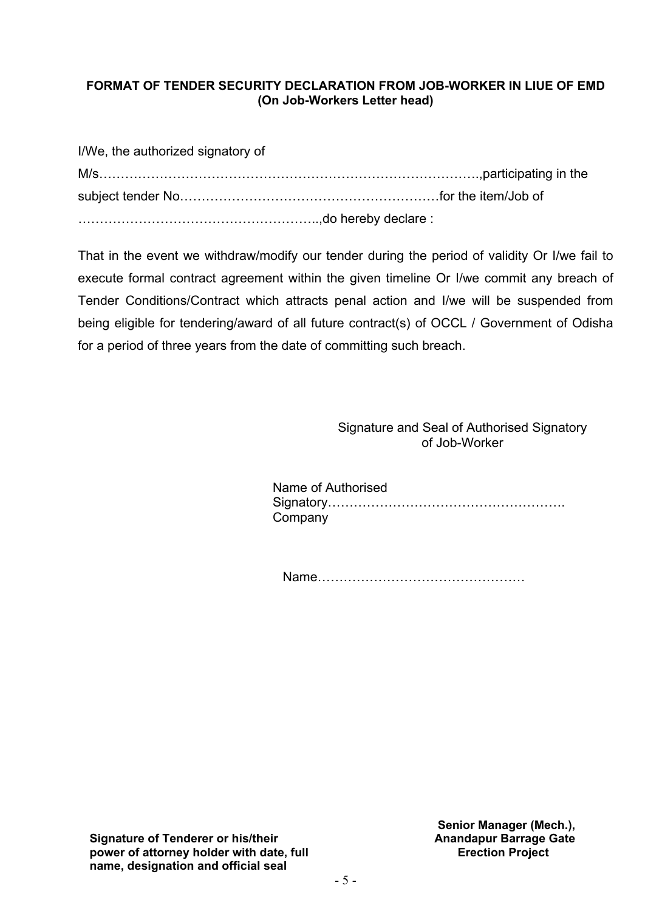#### **FORMAT OF TENDER SECURITY DECLARATION FROM JOB-WORKER IN LIUE OF EMD (On Job-Workers Letter head)**

| I/We, the authorized signatory of |  |
|-----------------------------------|--|
|                                   |  |
|                                   |  |
|                                   |  |

That in the event we withdraw/modify our tender during the period of validity Or I/we fail to execute formal contract agreement within the given timeline Or I/we commit any breach of Tender Conditions/Contract which attracts penal action and I/we will be suspended from being eligible for tendering/award of all future contract(s) of OCCL / Government of Odisha for a period of three years from the date of committing such breach.

> Signature and Seal of Authorised Signatory of Job-Worker

| Name of Authorised |
|--------------------|
|                    |
| Company            |

Name…………………………………………

**Signature of Tenderer or his/their power of attorney holder with date, full name, designation and official seal**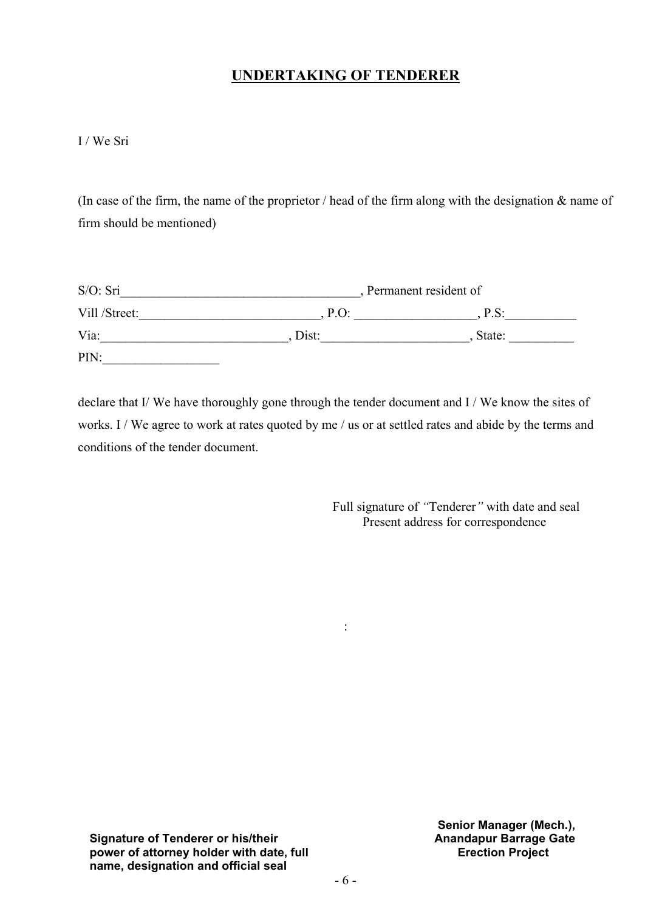## **UNDERTAKING OF TENDERER**

I / We Sri

(In case of the firm, the name of the proprietor / head of the firm along with the designation & name of firm should be mentioned)

| S/O: Sri      |         | Permanent resident of |  |  |  |  |
|---------------|---------|-----------------------|--|--|--|--|
| Vill /Street: | $P.O$ : | P.S:                  |  |  |  |  |
| Via:          | Dist:   | State:                |  |  |  |  |
| PIN:          |         |                       |  |  |  |  |

declare that I/ We have thoroughly gone through the tender document and I / We know the sites of works. I / We agree to work at rates quoted by me / us or at settled rates and abide by the terms and conditions of the tender document.

:

 Full signature of *"*Tenderer*"* with date and seal Present address for correspondence

**Signature of Tenderer or his/their power of attorney holder with date, full name, designation and official seal**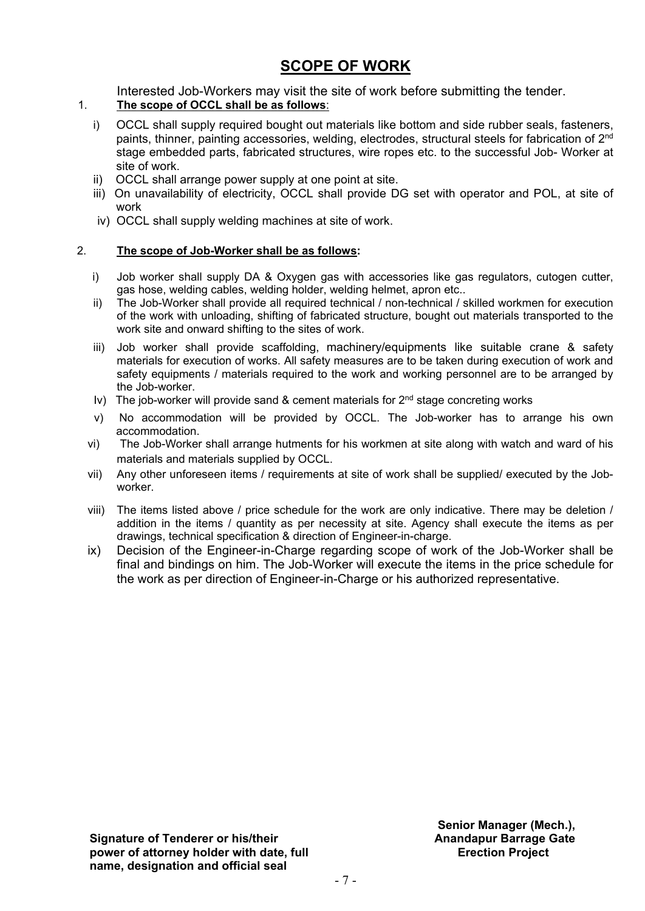# **SCOPE OF WORK**

Interested Job-Workers may visit the site of work before submitting the tender.

#### 1. **The scope of OCCL shall be as follows**:

- i) OCCL shall supply required bought out materials like bottom and side rubber seals, fasteners, paints, thinner, painting accessories, welding, electrodes, structural steels for fabrication of 2<sup>nd</sup> stage embedded parts, fabricated structures, wire ropes etc. to the successful Job- Worker at site of work.
- ii) OCCL shall arrange power supply at one point at site.
- iii) On unavailability of electricity, OCCL shall provide DG set with operator and POL, at site of work
- iv) OCCL shall supply welding machines at site of work.

#### 2. **The scope of Job-Worker shall be as follows:**

- i) Job worker shall supply DA & Oxygen gas with accessories like gas regulators, cutogen cutter, gas hose, welding cables, welding holder, welding helmet, apron etc..
- ii) The Job-Worker shall provide all required technical / non-technical / skilled workmen for execution of the work with unloading, shifting of fabricated structure, bought out materials transported to the work site and onward shifting to the sites of work.
- iii) Job worker shall provide scaffolding, machinery/equipments like suitable crane & safety materials for execution of works. All safety measures are to be taken during execution of work and safety equipments / materials required to the work and working personnel are to be arranged by the Job-worker.
- Iv) The job-worker will provide sand & cement materials for  $2^{nd}$  stage concreting works
- v) No accommodation will be provided by OCCL. The Job-worker has to arrange his own accommodation.
- vi) The Job-Worker shall arrange hutments for his workmen at site along with watch and ward of his materials and materials supplied by OCCL.
- vii) Any other unforeseen items / requirements at site of work shall be supplied/ executed by the Jobworker.
- viii) The items listed above / price schedule for the work are only indicative. There may be deletion / addition in the items / quantity as per necessity at site. Agency shall execute the items as per drawings, technical specification & direction of Engineer-in-charge.
- ix) Decision of the Engineer-in-Charge regarding scope of work of the Job-Worker shall be final and bindings on him. The Job-Worker will execute the items in the price schedule for the work as per direction of Engineer-in-Charge or his authorized representative.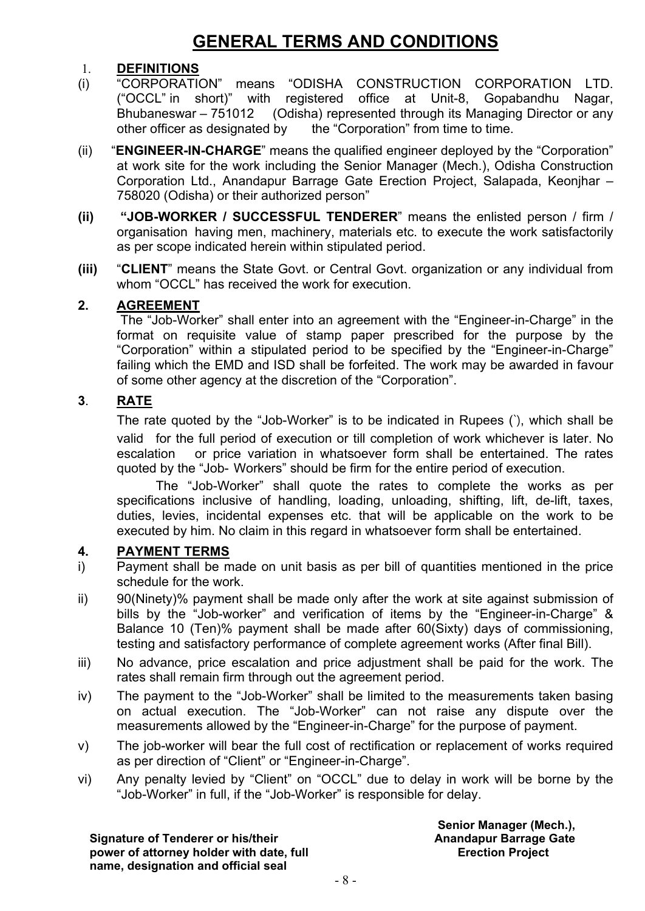# **GENERAL TERMS AND CONDITIONS**

#### 1. **DEFINITIONS**

- (i) "CORPORATION" means "ODISHA CONSTRUCTION CORPORATION LTD. ("OCCL" in short)" with registered office at Unit-8, Gopabandhu Nagar, Bhubaneswar – 751012 (Odisha) represented through its Managing Director or any other officer as designated by the "Corporation" from time to time.
- (ii) "**ENGINEER-IN-CHARGE**" means the qualified engineer deployed by the "Corporation" at work site for the work including the Senior Manager (Mech.), Odisha Construction Corporation Ltd., Anandapur Barrage Gate Erection Project, Salapada, Keonjhar – 758020 (Odisha) or their authorized person"
- **(ii) "JOB-WORKER / SUCCESSFUL TENDERER**" means the enlisted person / firm / organisation having men, machinery, materials etc. to execute the work satisfactorily as per scope indicated herein within stipulated period.
- **(iii)** "**CLIENT**" means the State Govt. or Central Govt. organization or any individual from whom "OCCL" has received the work for execution.

#### **2. AGREEMENT**

The "Job-Worker" shall enter into an agreement with the "Engineer-in-Charge" in the format on requisite value of stamp paper prescribed for the purpose by the "Corporation" within a stipulated period to be specified by the "Engineer-in-Charge" failing which the EMD and ISD shall be forfeited. The work may be awarded in favour of some other agency at the discretion of the "Corporation".

#### **3**. **RATE**

The rate quoted by the "Job-Worker" is to be indicated in Rupees (`), which shall be valid for the full period of execution or till completion of work whichever is later. No escalation or price variation in whatsoever form shall be entertained. The rates quoted by the "Job- Workers" should be firm for the entire period of execution.

The "Job-Worker" shall quote the rates to complete the works as per specifications inclusive of handling, loading, unloading, shifting, lift, de-lift, taxes, duties, levies, incidental expenses etc. that will be applicable on the work to be executed by him. No claim in this regard in whatsoever form shall be entertained.

#### **4. PAYMENT TERMS**

- i) Payment shall be made on unit basis as per bill of quantities mentioned in the price schedule for the work.
- ii) 90(Ninety)% payment shall be made only after the work at site against submission of bills by the "Job-worker" and verification of items by the "Engineer-in-Charge" & Balance 10 (Ten)% payment shall be made after 60(Sixty) days of commissioning, testing and satisfactory performance of complete agreement works (After final Bill).
- iii) No advance, price escalation and price adjustment shall be paid for the work. The rates shall remain firm through out the agreement period.
- iv) The payment to the "Job-Worker" shall be limited to the measurements taken basing on actual execution. The "Job-Worker" can not raise any dispute over the measurements allowed by the "Engineer-in-Charge" for the purpose of payment.
- v) The job-worker will bear the full cost of rectification or replacement of works required as per direction of "Client" or "Engineer-in-Charge".
- vi) Any penalty levied by "Client" on "OCCL" due to delay in work will be borne by the "Job-Worker" in full, if the "Job-Worker" is responsible for delay.

**Signature of Tenderer or his/their power of attorney holder with date, full name, designation and official seal**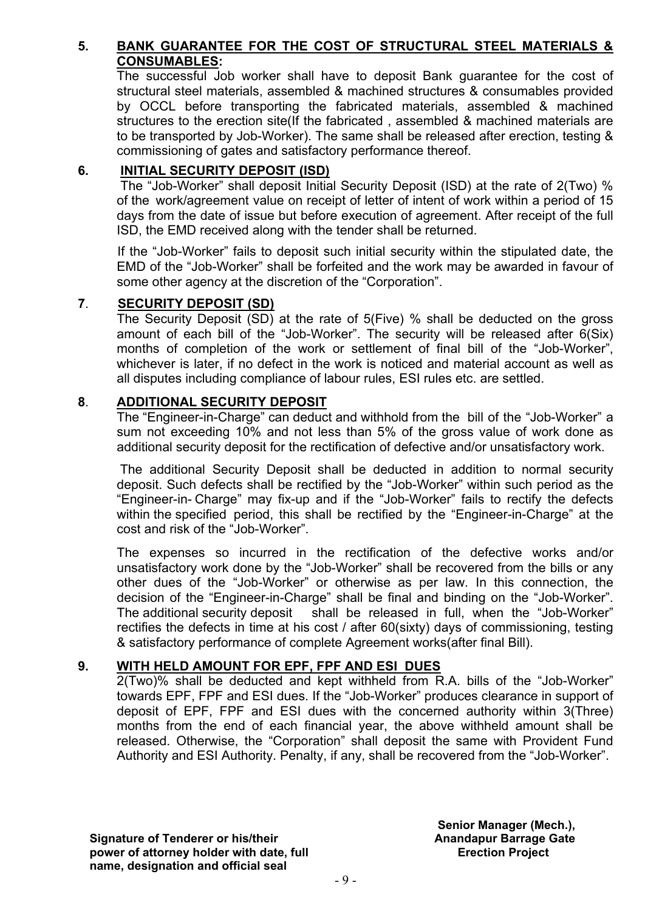#### **5. BANK GUARANTEE FOR THE COST OF STRUCTURAL STEEL MATERIALS & CONSUMABLES:**

The successful Job worker shall have to deposit Bank guarantee for the cost of structural steel materials, assembled & machined structures & consumables provided by OCCL before transporting the fabricated materials, assembled & machined structures to the erection site(If the fabricated , assembled & machined materials are to be transported by Job-Worker). The same shall be released after erection, testing & commissioning of gates and satisfactory performance thereof.

#### **6. INITIAL SECURITY DEPOSIT (ISD)**

The "Job-Worker" shall deposit Initial Security Deposit (ISD) at the rate of 2(Two) % of the work/agreement value on receipt of letter of intent of work within a period of 15 days from the date of issue but before execution of agreement. After receipt of the full ISD, the EMD received along with the tender shall be returned.

If the "Job-Worker" fails to deposit such initial security within the stipulated date, the EMD of the "Job-Worker" shall be forfeited and the work may be awarded in favour of some other agency at the discretion of the "Corporation".

#### **7**. **SECURITY DEPOSIT (SD)**

The Security Deposit (SD) at the rate of 5(Five) % shall be deducted on the gross amount of each bill of the "Job-Worker". The security will be released after 6(Six) months of completion of the work or settlement of final bill of the "Job-Worker", whichever is later, if no defect in the work is noticed and material account as well as all disputes including compliance of labour rules, ESI rules etc. are settled.

#### **8**. **ADDITIONAL SECURITY DEPOSIT**

The "Engineer-in-Charge" can deduct and withhold from the bill of the "Job-Worker" a sum not exceeding 10% and not less than 5% of the gross value of work done as additional security deposit for the rectification of defective and/or unsatisfactory work.

The additional Security Deposit shall be deducted in addition to normal security deposit. Such defects shall be rectified by the "Job-Worker" within such period as the "Engineer-in- Charge" may fix-up and if the "Job-Worker" fails to rectify the defects within the specified period, this shall be rectified by the "Engineer-in-Charge" at the cost and risk of the "Job-Worker".

The expenses so incurred in the rectification of the defective works and/or unsatisfactory work done by the "Job-Worker" shall be recovered from the bills or any other dues of the "Job-Worker" or otherwise as per law. In this connection, the decision of the "Engineer-in-Charge" shall be final and binding on the "Job-Worker". The additional security deposit shall be released in full, when the "Job-Worker" rectifies the defects in time at his cost / after 60(sixty) days of commissioning, testing & satisfactory performance of complete Agreement works(after final Bill).

#### **9. WITH HELD AMOUNT FOR EPF, FPF AND ESI DUES**

2(Two)% shall be deducted and kept withheld from R.A. bills of the "Job-Worker" towards EPF, FPF and ESI dues. If the "Job-Worker" produces clearance in support of deposit of EPF, FPF and ESI dues with the concerned authority within 3(Three) months from the end of each financial year, the above withheld amount shall be released. Otherwise, the "Corporation" shall deposit the same with Provident Fund Authority and ESI Authority. Penalty, if any, shall be recovered from the "Job-Worker".

**Signature of Tenderer or his/their power of attorney holder with date, full name, designation and official seal**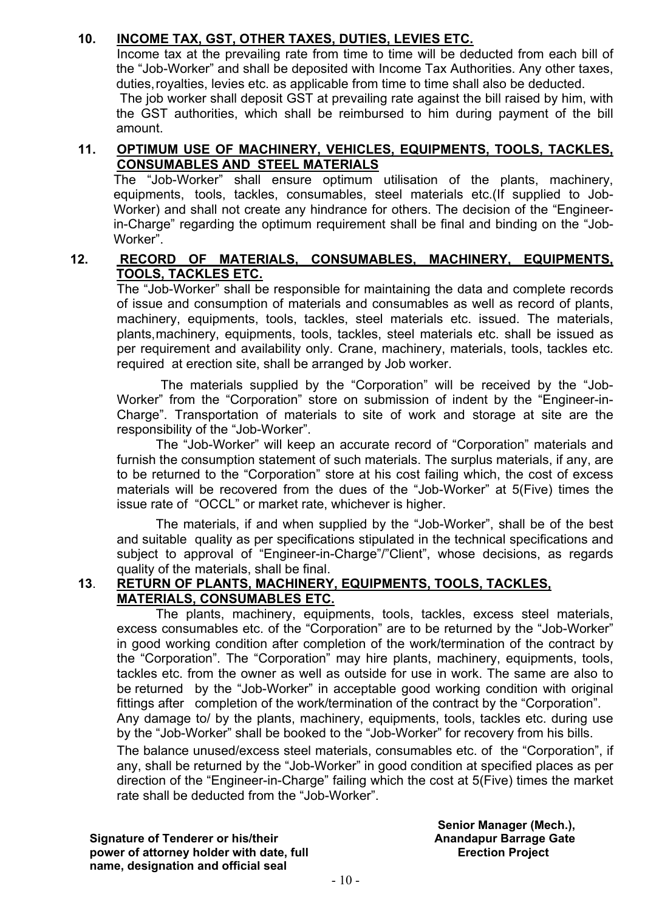#### **10. INCOME TAX, GST, OTHER TAXES, DUTIES, LEVIES ETC.**

Income tax at the prevailing rate from time to time will be deducted from each bill of the "Job-Worker" and shall be deposited with Income Tax Authorities. Any other taxes, duties,royalties, levies etc. as applicable from time to time shall also be deducted.

The job worker shall deposit GST at prevailing rate against the bill raised by him, with the GST authorities, which shall be reimbursed to him during payment of the bill amount.

#### **11. OPTIMUM USE OF MACHINERY, VEHICLES, EQUIPMENTS, TOOLS, TACKLES, CONSUMABLES AND STEEL MATERIALS**

The "Job-Worker" shall ensure optimum utilisation of the plants, machinery, equipments, tools, tackles, consumables, steel materials etc.(If supplied to Job-Worker) and shall not create any hindrance for others. The decision of the "Engineerin-Charge" regarding the optimum requirement shall be final and binding on the "Job-Worker".

#### **12. RECORD OF MATERIALS, CONSUMABLES, MACHINERY, EQUIPMENTS, TOOLS, TACKLES ETC.**

The "Job-Worker" shall be responsible for maintaining the data and complete records of issue and consumption of materials and consumables as well as record of plants, machinery, equipments, tools, tackles, steel materials etc. issued. The materials, plants,machinery, equipments, tools, tackles, steel materials etc. shall be issued as per requirement and availability only. Crane, machinery, materials, tools, tackles etc. required at erection site, shall be arranged by Job worker.

The materials supplied by the "Corporation" will be received by the "Job-Worker" from the "Corporation" store on submission of indent by the "Engineer-in-Charge". Transportation of materials to site of work and storage at site are the responsibility of the "Job-Worker".

The "Job-Worker" will keep an accurate record of "Corporation" materials and furnish the consumption statement of such materials. The surplus materials, if any, are to be returned to the "Corporation" store at his cost failing which, the cost of excess materials will be recovered from the dues of the "Job-Worker" at 5(Five) times the issue rate of "OCCL" or market rate, whichever is higher.

The materials, if and when supplied by the "Job-Worker", shall be of the best and suitable quality as per specifications stipulated in the technical specifications and subject to approval of "Engineer-in-Charge"/"Client", whose decisions, as regards quality of the materials, shall be final.

#### **13**. **RETURN OF PLANTS, MACHINERY, EQUIPMENTS, TOOLS, TACKLES, MATERIALS, CONSUMABLES ETC.**

The plants, machinery, equipments, tools, tackles, excess steel materials, excess consumables etc. of the "Corporation" are to be returned by the "Job-Worker" in good working condition after completion of the work/termination of the contract by the "Corporation". The "Corporation" may hire plants, machinery, equipments, tools, tackles etc. from the owner as well as outside for use in work. The same are also to be returned by the "Job-Worker" in acceptable good working condition with original fittings after completion of the work/termination of the contract by the "Corporation". Any damage to/ by the plants, machinery, equipments, tools, tackles etc. during use by the "Job-Worker" shall be booked to the "Job-Worker" for recovery from his bills.

The balance unused/excess steel materials, consumables etc. of the "Corporation", if any, shall be returned by the "Job-Worker" in good condition at specified places as per direction of the "Engineer-in-Charge" failing which the cost at 5(Five) times the market rate shall be deducted from the "Job-Worker".

**Signature of Tenderer or his/their power of attorney holder with date, full name, designation and official seal**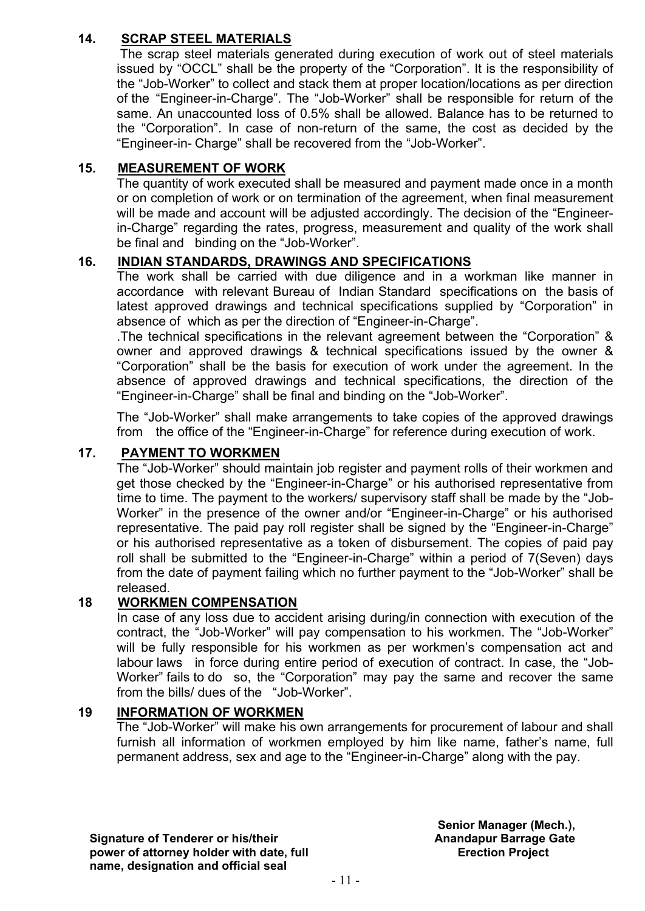#### **14. SCRAP STEEL MATERIALS**

The scrap steel materials generated during execution of work out of steel materials issued by "OCCL" shall be the property of the "Corporation". It is the responsibility of the "Job-Worker" to collect and stack them at proper location/locations as per direction of the "Engineer-in-Charge". The "Job-Worker" shall be responsible for return of the same. An unaccounted loss of 0.5% shall be allowed. Balance has to be returned to the "Corporation". In case of non-return of the same, the cost as decided by the "Engineer-in- Charge" shall be recovered from the "Job-Worker".

#### **15. MEASUREMENT OF WORK**

The quantity of work executed shall be measured and payment made once in a month or on completion of work or on termination of the agreement, when final measurement will be made and account will be adjusted accordingly. The decision of the "Engineerin-Charge" regarding the rates, progress, measurement and quality of the work shall be final and binding on the "Job-Worker".

#### **16. INDIAN STANDARDS, DRAWINGS AND SPECIFICATIONS**

The work shall be carried with due diligence and in a workman like manner in accordance with relevant Bureau of Indian Standard specifications on the basis of latest approved drawings and technical specifications supplied by "Corporation" in absence of which as per the direction of "Engineer-in-Charge".

.The technical specifications in the relevant agreement between the "Corporation" & owner and approved drawings & technical specifications issued by the owner & "Corporation" shall be the basis for execution of work under the agreement. In the absence of approved drawings and technical specifications, the direction of the "Engineer-in-Charge" shall be final and binding on the "Job-Worker".

The "Job-Worker" shall make arrangements to take copies of the approved drawings from the office of the "Engineer-in-Charge" for reference during execution of work.

#### **17. PAYMENT TO WORKMEN**

The "Job-Worker" should maintain job register and payment rolls of their workmen and get those checked by the "Engineer-in-Charge" or his authorised representative from time to time. The payment to the workers/ supervisory staff shall be made by the "Job-Worker" in the presence of the owner and/or "Engineer-in-Charge" or his authorised representative. The paid pay roll register shall be signed by the "Engineer-in-Charge" or his authorised representative as a token of disbursement. The copies of paid pay roll shall be submitted to the "Engineer-in-Charge" within a period of 7(Seven) days from the date of payment failing which no further payment to the "Job-Worker" shall be released.

#### **18 WORKMEN COMPENSATION**

In case of any loss due to accident arising during/in connection with execution of the contract, the "Job-Worker" will pay compensation to his workmen. The "Job-Worker" will be fully responsible for his workmen as per workmen's compensation act and labour laws in force during entire period of execution of contract. In case, the "Job-Worker" fails to do so, the "Corporation" may pay the same and recover the same from the bills/ dues of the "Job-Worker".

#### **19 INFORMATION OF WORKMEN**

The "Job-Worker" will make his own arrangements for procurement of labour and shall furnish all information of workmen employed by him like name, father's name, full permanent address, sex and age to the "Engineer-in-Charge" along with the pay.

**Signature of Tenderer or his/their power of attorney holder with date, full name, designation and official seal**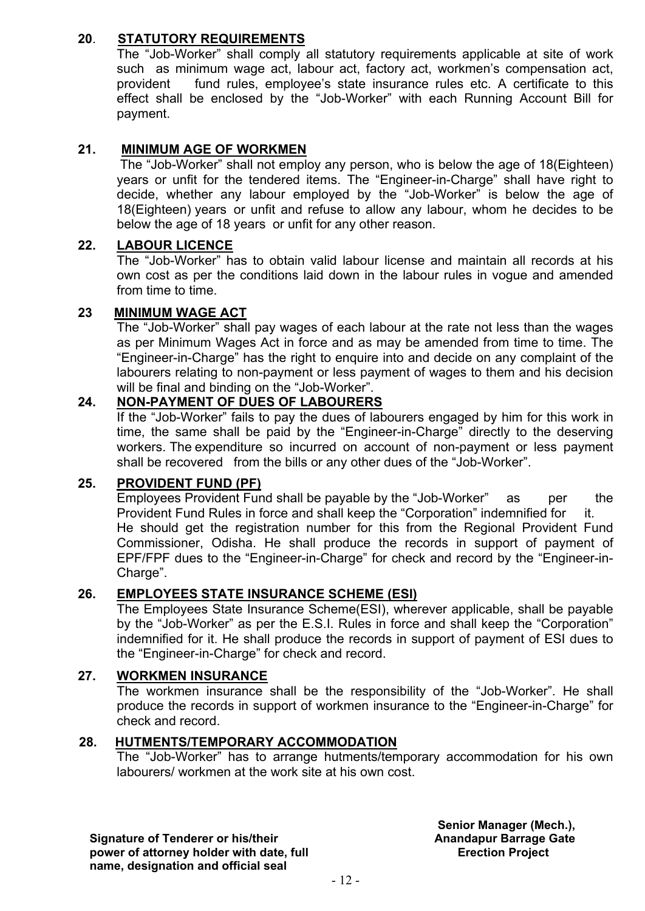#### **20**. **STATUTORY REQUIREMENTS**

The "Job-Worker" shall comply all statutory requirements applicable at site of work such as minimum wage act, labour act, factory act, workmen's compensation act, provident fund rules, employee's state insurance rules etc. A certificate to this effect shall be enclosed by the "Job-Worker" with each Running Account Bill for payment.

#### **21. MINIMUM AGE OF WORKMEN**

The "Job-Worker" shall not employ any person, who is below the age of 18(Eighteen) years or unfit for the tendered items. The "Engineer-in-Charge" shall have right to decide, whether any labour employed by the "Job-Worker" is below the age of 18(Eighteen) years or unfit and refuse to allow any labour, whom he decides to be below the age of 18 years or unfit for any other reason.

#### **22. LABOUR LICENCE**

The "Job-Worker" has to obtain valid labour license and maintain all records at his own cost as per the conditions laid down in the labour rules in vogue and amended from time to time.

#### **23 MINIMUM WAGE ACT**

The "Job-Worker" shall pay wages of each labour at the rate not less than the wages as per Minimum Wages Act in force and as may be amended from time to time. The "Engineer-in-Charge" has the right to enquire into and decide on any complaint of the labourers relating to non-payment or less payment of wages to them and his decision will be final and binding on the "Job-Worker".

#### **24. NON-PAYMENT OF DUES OF LABOURERS**

If the "Job-Worker" fails to pay the dues of labourers engaged by him for this work in time, the same shall be paid by the "Engineer-in-Charge" directly to the deserving workers. The expenditure so incurred on account of non-payment or less payment shall be recovered from the bills or any other dues of the "Job-Worker".

#### **25. PROVIDENT FUND (PF)**

Employees Provident Fund shall be payable by the "Job-Worker" as per the Provident Fund Rules in force and shall keep the "Corporation" indemnified for it. He should get the registration number for this from the Regional Provident Fund Commissioner, Odisha. He shall produce the records in support of payment of EPF/FPF dues to the "Engineer-in-Charge" for check and record by the "Engineer-in-Charge".

#### **26. EMPLOYEES STATE INSURANCE SCHEME (ESI)**

The Employees State Insurance Scheme(ESI), wherever applicable, shall be payable by the "Job-Worker" as per the E.S.I. Rules in force and shall keep the "Corporation" indemnified for it. He shall produce the records in support of payment of ESI dues to the "Engineer-in-Charge" for check and record.

#### **27. WORKMEN INSURANCE**

The workmen insurance shall be the responsibility of the "Job-Worker". He shall produce the records in support of workmen insurance to the "Engineer-in-Charge" for check and record.

#### **28. HUTMENTS/TEMPORARY ACCOMMODATION**

The "Job-Worker" has to arrange hutments/temporary accommodation for his own labourers/ workmen at the work site at his own cost.

**Signature of Tenderer or his/their power of attorney holder with date, full name, designation and official seal**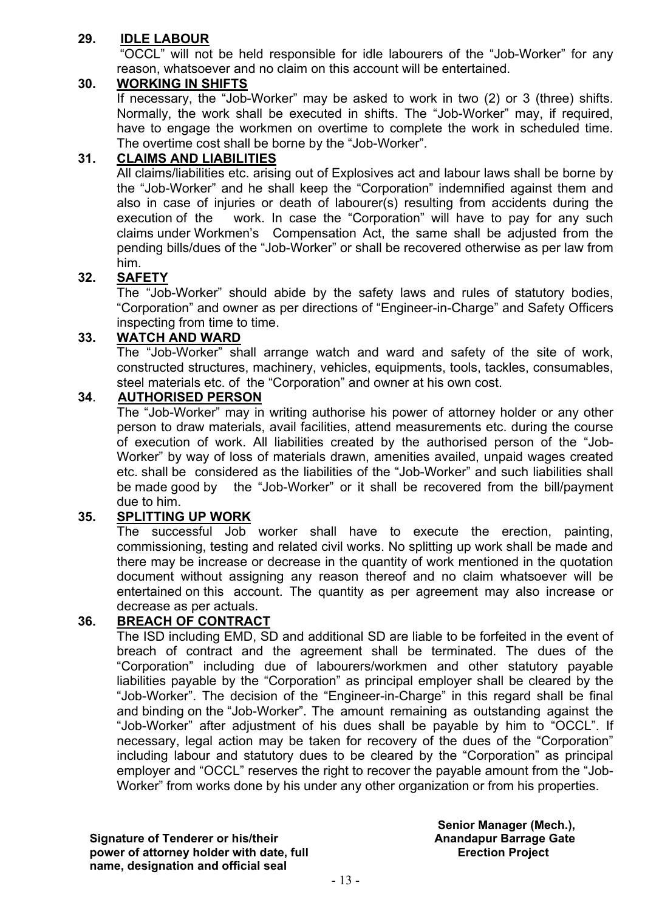#### **29. IDLE LABOUR**

"OCCL" will not be held responsible for idle labourers of the "Job-Worker" for any reason, whatsoever and no claim on this account will be entertained.

#### **30. WORKING IN SHIFTS**

If necessary, the "Job-Worker" may be asked to work in two (2) or 3 (three) shifts. Normally, the work shall be executed in shifts. The "Job-Worker" may, if required, have to engage the workmen on overtime to complete the work in scheduled time. The overtime cost shall be borne by the "Job-Worker".

#### **31. CLAIMS AND LIABILITIES**

All claims/liabilities etc. arising out of Explosives act and labour laws shall be borne by the "Job-Worker" and he shall keep the "Corporation" indemnified against them and also in case of injuries or death of labourer(s) resulting from accidents during the execution of the work. In case the "Corporation" will have to pay for any such claims under Workmen's Compensation Act, the same shall be adjusted from the pending bills/dues of the "Job-Worker" or shall be recovered otherwise as per law from him.

#### **32. SAFETY**

The "Job-Worker" should abide by the safety laws and rules of statutory bodies, "Corporation" and owner as per directions of "Engineer-in-Charge" and Safety Officers inspecting from time to time.

#### **33. WATCH AND WARD**

The "Job-Worker" shall arrange watch and ward and safety of the site of work, constructed structures, machinery, vehicles, equipments, tools, tackles, consumables, steel materials etc. of the "Corporation" and owner at his own cost.

#### **34**. **AUTHORISED PERSON**

The "Job-Worker" may in writing authorise his power of attorney holder or any other person to draw materials, avail facilities, attend measurements etc. during the course of execution of work. All liabilities created by the authorised person of the "Job-Worker" by way of loss of materials drawn, amenities availed, unpaid wages created etc. shall be considered as the liabilities of the "Job-Worker" and such liabilities shall be made good by the "Job-Worker" or it shall be recovered from the bill/payment due to him.

#### **35. SPLITTING UP WORK**

The successful Job worker shall have to execute the erection, painting, commissioning, testing and related civil works. No splitting up work shall be made and there may be increase or decrease in the quantity of work mentioned in the quotation document without assigning any reason thereof and no claim whatsoever will be entertained on this account. The quantity as per agreement may also increase or decrease as per actuals.

#### **36. BREACH OF CONTRACT**

The ISD including EMD, SD and additional SD are liable to be forfeited in the event of breach of contract and the agreement shall be terminated. The dues of the "Corporation" including due of labourers/workmen and other statutory payable liabilities payable by the "Corporation" as principal employer shall be cleared by the "Job-Worker". The decision of the "Engineer-in-Charge" in this regard shall be final and binding on the "Job-Worker". The amount remaining as outstanding against the "Job-Worker" after adjustment of his dues shall be payable by him to "OCCL". If necessary, legal action may be taken for recovery of the dues of the "Corporation" including labour and statutory dues to be cleared by the "Corporation" as principal employer and "OCCL" reserves the right to recover the payable amount from the "Job-Worker" from works done by his under any other organization or from his properties.

**Signature of Tenderer or his/their power of attorney holder with date, full name, designation and official seal**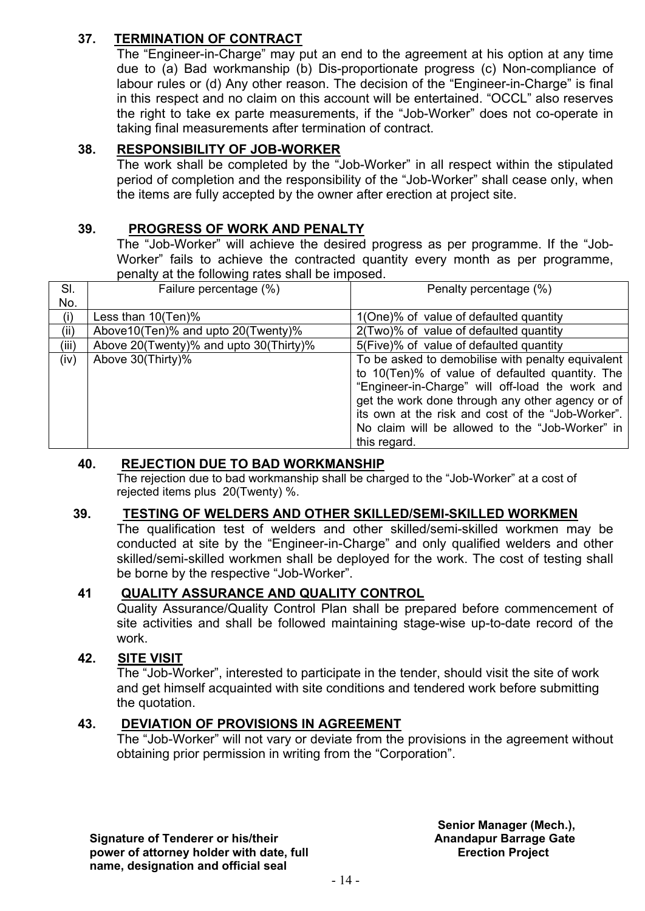#### **37. TERMINATION OF CONTRACT**

The "Engineer-in-Charge" may put an end to the agreement at his option at any time due to (a) Bad workmanship (b) Dis-proportionate progress (c) Non-compliance of labour rules or (d) Any other reason. The decision of the "Engineer-in-Charge" is final in this respect and no claim on this account will be entertained. "OCCL" also reserves the right to take ex parte measurements, if the "Job-Worker" does not co-operate in taking final measurements after termination of contract.

#### **38. RESPONSIBILITY OF JOB-WORKER**

The work shall be completed by the "Job-Worker" in all respect within the stipulated period of completion and the responsibility of the "Job-Worker" shall cease only, when the items are fully accepted by the owner after erection at project site.

#### **39. PROGRESS OF WORK AND PENALTY**

The "Job-Worker" will achieve the desired progress as per programme. If the "Job-Worker" fails to achieve the contracted quantity every month as per programme, penalty at the following rates shall be imposed.

| SI.   | Failure percentage (%)                 | Penalty percentage (%)                            |
|-------|----------------------------------------|---------------------------------------------------|
| No.   |                                        |                                                   |
| (i)   | Less than $10(Ten)\%$                  | 1(One)% of value of defaulted quantity            |
| (ii)  | Above 10 (Ten)% and upto 20 (Twenty)%  | 2(Two)% of value of defaulted quantity            |
| (iii) | Above 20(Twenty)% and upto 30(Thirty)% | 5(Five)% of value of defaulted quantity           |
| (iv)  | Above 30(Thirty)%                      | To be asked to demobilise with penalty equivalent |
|       |                                        | to 10(Ten)% of value of defaulted quantity. The   |
|       |                                        | "Engineer-in-Charge" will off-load the work and   |
|       |                                        | get the work done through any other agency or of  |
|       |                                        | its own at the risk and cost of the "Job-Worker". |
|       |                                        | No claim will be allowed to the "Job-Worker" in   |
|       |                                        | this regard.                                      |

#### **40. REJECTION DUE TO BAD WORKMANSHIP**

The rejection due to bad workmanship shall be charged to the "Job-Worker" at a cost of rejected items plus 20(Twenty) %.

#### **39. TESTING OF WELDERS AND OTHER SKILLED/SEMI-SKILLED WORKMEN**

The qualification test of welders and other skilled/semi-skilled workmen may be conducted at site by the "Engineer-in-Charge" and only qualified welders and other skilled/semi-skilled workmen shall be deployed for the work. The cost of testing shall be borne by the respective "Job-Worker".

#### **41 QUALITY ASSURANCE AND QUALITY CONTROL**

Quality Assurance/Quality Control Plan shall be prepared before commencement of site activities and shall be followed maintaining stage-wise up-to-date record of the

## work.<br>**42. SITE 42. SITE VISIT**

The "Job-Worker", interested to participate in the tender, should visit the site of work and get himself acquainted with site conditions and tendered work before submitting the quotation.

#### **43. DEVIATION OF PROVISIONS IN AGREEMENT**

The "Job-Worker" will not vary or deviate from the provisions in the agreement without obtaining prior permission in writing from the "Corporation".

**Signature of Tenderer or his/their power of attorney holder with date, full name, designation and official seal**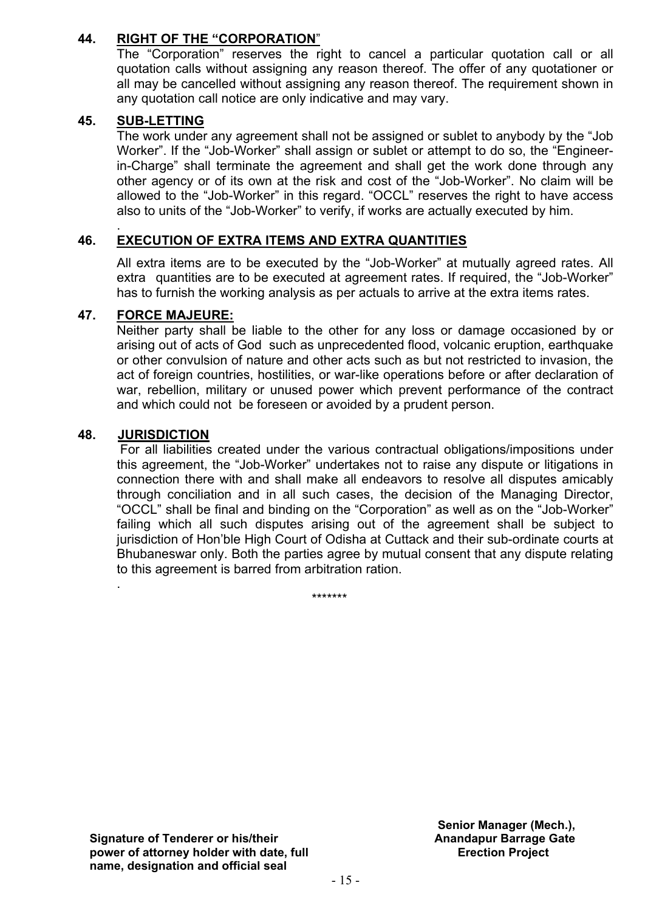#### **44. RIGHT OF THE "CORPORATION**"

The "Corporation" reserves the right to cancel a particular quotation call or all quotation calls without assigning any reason thereof. The offer of any quotationer or all may be cancelled without assigning any reason thereof. The requirement shown in any quotation call notice are only indicative and may vary.

#### **45. SUB-LETTING**

The work under any agreement shall not be assigned or sublet to anybody by the "Job Worker". If the "Job-Worker" shall assign or sublet or attempt to do so, the "Engineerin-Charge" shall terminate the agreement and shall get the work done through any other agency or of its own at the risk and cost of the "Job-Worker". No claim will be allowed to the "Job-Worker" in this regard. "OCCL" reserves the right to have access also to units of the "Job-Worker" to verify, if works are actually executed by him.

#### . **46. EXECUTION OF EXTRA ITEMS AND EXTRA QUANTITIES**

All extra items are to be executed by the "Job-Worker" at mutually agreed rates. All extra quantities are to be executed at agreement rates. If required, the "Job-Worker" has to furnish the working analysis as per actuals to arrive at the extra items rates.

#### **47. FORCE MAJEURE:**

Neither party shall be liable to the other for any loss or damage occasioned by or arising out of acts of God such as unprecedented flood, volcanic eruption, earthquake or other convulsion of nature and other acts such as but not restricted to invasion, the act of foreign countries, hostilities, or war-like operations before or after declaration of war, rebellion, military or unused power which prevent performance of the contract and which could not be foreseen or avoided by a prudent person.

#### **48. JURISDICTION**

.

For all liabilities created under the various contractual obligations/impositions under this agreement, the "Job-Worker" undertakes not to raise any dispute or litigations in connection there with and shall make all endeavors to resolve all disputes amicably through conciliation and in all such cases, the decision of the Managing Director, "OCCL" shall be final and binding on the "Corporation" as well as on the "Job-Worker" failing which all such disputes arising out of the agreement shall be subject to jurisdiction of Hon'ble High Court of Odisha at Cuttack and their sub-ordinate courts at Bhubaneswar only. Both the parties agree by mutual consent that any dispute relating to this agreement is barred from arbitration ration.

**Signature of Tenderer or his/their power of attorney holder with date, full name, designation and official seal**

\*\*\*\*\*\*\*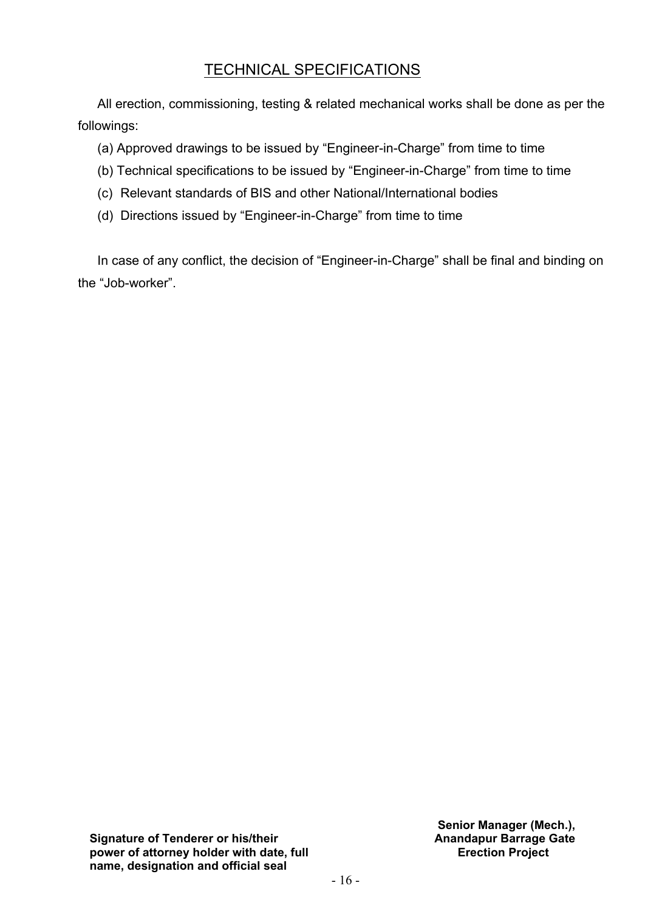# TECHNICAL SPECIFICATIONS

All erection, commissioning, testing & related mechanical works shall be done as per the followings:

(a) Approved drawings to be issued by "Engineer-in-Charge" from time to time

- (b) Technical specifications to be issued by "Engineer-in-Charge" from time to time
- (c) Relevant standards of BIS and other National/International bodies
- (d) Directions issued by "Engineer-in-Charge" from time to time

In case of any conflict, the decision of "Engineer-in-Charge" shall be final and binding on the "Job-worker".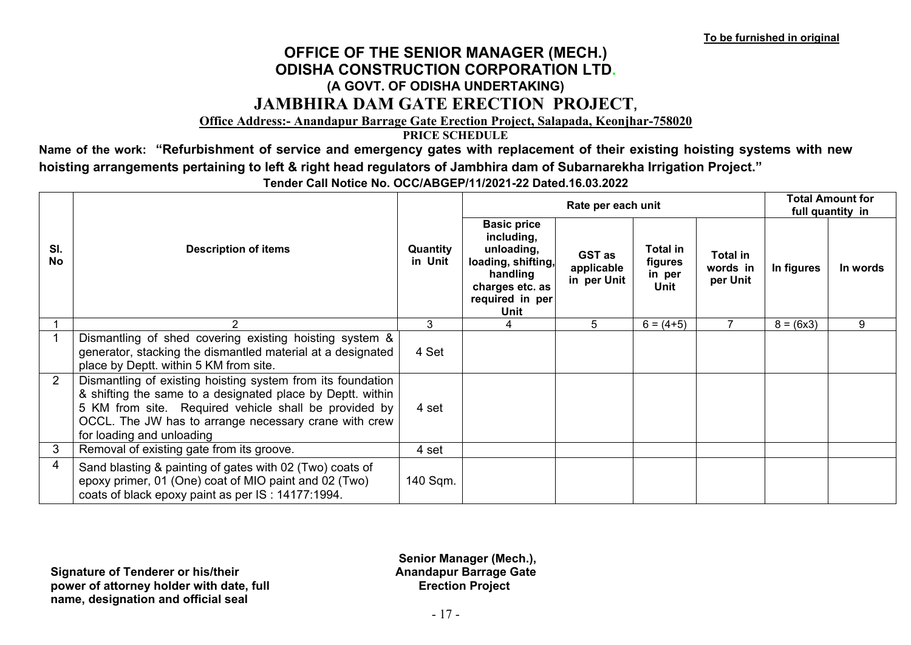## **OFFICE OF THE SENIOR MANAGER (MECH.) ODISHA CONSTRUCTION CORPORATION LTD. (A GOVT. OF ODISHA UNDERTAKING) JAMBHIRA DAM GATE ERECTION PROJECT,**

#### **Office Address:- Anandapur Barrage Gate Erection Project, Salapada, Keonjhar-758020**

**PRICE SCHEDULE**

**Name of the work: "Refurbishment of service and emergency gates with replacement of their existing hoisting systems with new hoisting arrangements pertaining to left & right head regulators of Jambhira dam of Subarnarekha Irrigation Project."** 

|                  |                                                                                                                                                                                                                                                                          |                     |                                                                                                                                | Rate per each unit                         |                                              |                                  |             | <b>Total Amount for</b><br>full quantity in |
|------------------|--------------------------------------------------------------------------------------------------------------------------------------------------------------------------------------------------------------------------------------------------------------------------|---------------------|--------------------------------------------------------------------------------------------------------------------------------|--------------------------------------------|----------------------------------------------|----------------------------------|-------------|---------------------------------------------|
| SI.<br><b>No</b> | <b>Description of items</b>                                                                                                                                                                                                                                              | Quantity<br>in Unit | <b>Basic price</b><br>including,<br>unloading,<br>loading, shifting,<br>handling<br>charges etc. as<br>required in per<br>Unit | <b>GST</b> as<br>applicable<br>in per Unit | Total in<br>figures<br>in per<br><b>Unit</b> | Total in<br>words in<br>per Unit | In figures  | In words                                    |
|                  | 2                                                                                                                                                                                                                                                                        | 3                   | 4                                                                                                                              | 5                                          | $6 = (4+5)$                                  |                                  | $8 = (6x3)$ | 9                                           |
|                  | Dismantling of shed covering existing hoisting system &<br>generator, stacking the dismantled material at a designated<br>place by Deptt. within 5 KM from site.                                                                                                         | 4 Set               |                                                                                                                                |                                            |                                              |                                  |             |                                             |
| 2                | Dismantling of existing hoisting system from its foundation<br>& shifting the same to a designated place by Deptt. within<br>5 KM from site. Required vehicle shall be provided by<br>OCCL. The JW has to arrange necessary crane with crew<br>for loading and unloading | 4 set               |                                                                                                                                |                                            |                                              |                                  |             |                                             |
| 3                | Removal of existing gate from its groove.                                                                                                                                                                                                                                | 4 set               |                                                                                                                                |                                            |                                              |                                  |             |                                             |
| 4                | Sand blasting & painting of gates with 02 (Two) coats of<br>epoxy primer, 01 (One) coat of MIO paint and 02 (Two)<br>coats of black epoxy paint as per IS: 14177:1994.                                                                                                   | 140 Sqm.            |                                                                                                                                |                                            |                                              |                                  |             |                                             |

**Tender Call Notice No. OCC/ABGEP/11/2021-22 Dated.16.03.2022**

**Signature of Tenderer or his/their power of attorney holder with date, full name, designation and official seal**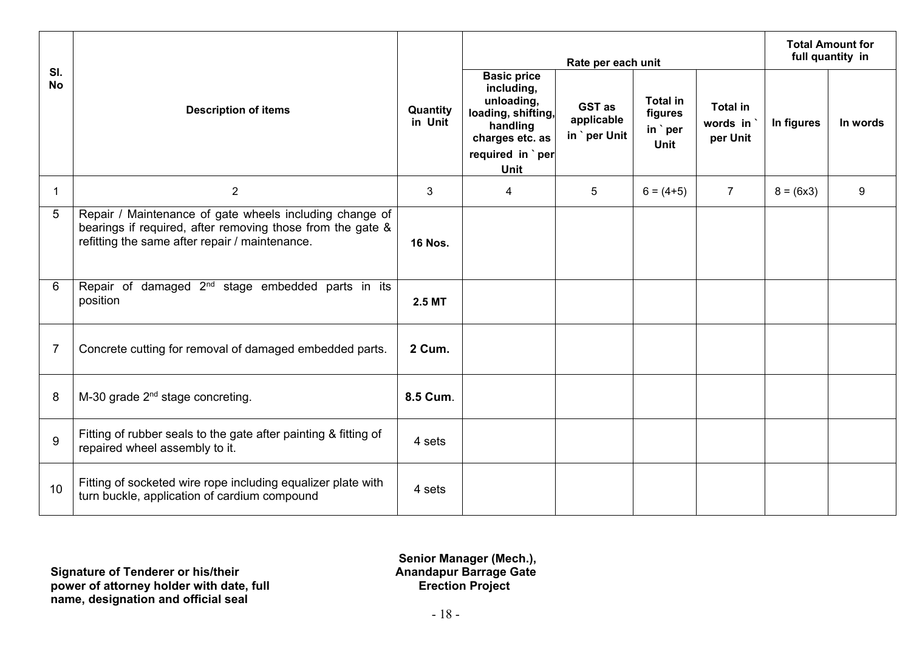|                  |                                                                                                                                                                         |                     | Rate per each unit                                                                                                              |                                      |                                               |                                         | <b>Total Amount for</b><br>full quantity in |          |
|------------------|-------------------------------------------------------------------------------------------------------------------------------------------------------------------------|---------------------|---------------------------------------------------------------------------------------------------------------------------------|--------------------------------------|-----------------------------------------------|-----------------------------------------|---------------------------------------------|----------|
| SI.<br><b>No</b> | <b>Description of items</b>                                                                                                                                             | Quantity<br>in Unit | <b>Basic price</b><br>including,<br>unloading,<br>loading, shifting,<br>handling<br>charges etc. as<br>required in `per<br>Unit | GST as<br>applicable<br>in `per Unit | <b>Total in</b><br>figures<br>in `per<br>Unit | <b>Total in</b><br>words in<br>per Unit | In figures                                  | In words |
| 1                | 2                                                                                                                                                                       | 3                   | 4                                                                                                                               | 5                                    | $6 = (4+5)$                                   | $\overline{7}$                          | $8 = (6x3)$                                 | 9        |
| 5                | Repair / Maintenance of gate wheels including change of<br>bearings if required, after removing those from the gate &<br>refitting the same after repair / maintenance. | <b>16 Nos.</b>      |                                                                                                                                 |                                      |                                               |                                         |                                             |          |
| 6                | Repair of damaged 2 <sup>nd</sup> stage embedded parts in its<br>position                                                                                               | 2.5 MT              |                                                                                                                                 |                                      |                                               |                                         |                                             |          |
| $\overline{7}$   | Concrete cutting for removal of damaged embedded parts.                                                                                                                 | 2 Cum.              |                                                                                                                                 |                                      |                                               |                                         |                                             |          |
| 8                | M-30 grade 2 <sup>nd</sup> stage concreting.                                                                                                                            | 8.5 Cum.            |                                                                                                                                 |                                      |                                               |                                         |                                             |          |
| 9                | Fitting of rubber seals to the gate after painting & fitting of<br>repaired wheel assembly to it.                                                                       | 4 sets              |                                                                                                                                 |                                      |                                               |                                         |                                             |          |
| 10               | Fitting of socketed wire rope including equalizer plate with<br>turn buckle, application of cardium compound                                                            | 4 sets              |                                                                                                                                 |                                      |                                               |                                         |                                             |          |